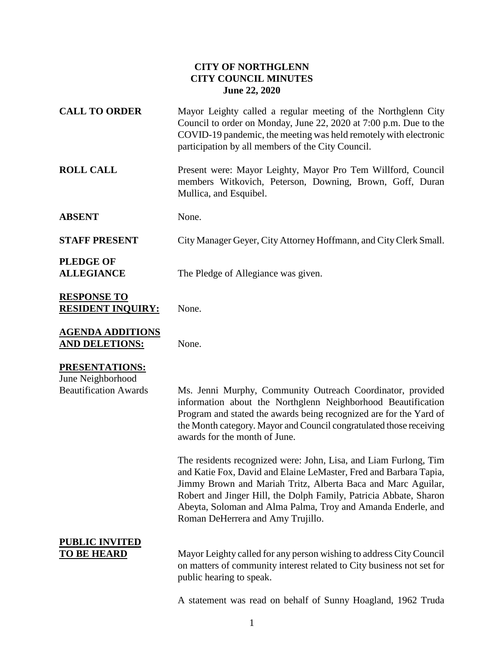#### **CITY OF NORTHGLENN CITY COUNCIL MINUTES June 22, 2020**

| <b>CALL TO ORDER</b>                                                       | Mayor Leighty called a regular meeting of the Northglenn City<br>Council to order on Monday, June 22, 2020 at 7:00 p.m. Due to the<br>COVID-19 pandemic, the meeting was held remotely with electronic<br>participation by all members of the City Council.                                                                                                                                                                                                                                                                                                                                                                                                                                 |
|----------------------------------------------------------------------------|---------------------------------------------------------------------------------------------------------------------------------------------------------------------------------------------------------------------------------------------------------------------------------------------------------------------------------------------------------------------------------------------------------------------------------------------------------------------------------------------------------------------------------------------------------------------------------------------------------------------------------------------------------------------------------------------|
| <b>ROLL CALL</b>                                                           | Present were: Mayor Leighty, Mayor Pro Tem Willford, Council<br>members Witkovich, Peterson, Downing, Brown, Goff, Duran<br>Mullica, and Esquibel.                                                                                                                                                                                                                                                                                                                                                                                                                                                                                                                                          |
| <b>ABSENT</b>                                                              | None.                                                                                                                                                                                                                                                                                                                                                                                                                                                                                                                                                                                                                                                                                       |
| <b>STAFF PRESENT</b>                                                       | City Manager Geyer, City Attorney Hoffmann, and City Clerk Small.                                                                                                                                                                                                                                                                                                                                                                                                                                                                                                                                                                                                                           |
| <b>PLEDGE OF</b><br><b>ALLEGIANCE</b>                                      | The Pledge of Allegiance was given.                                                                                                                                                                                                                                                                                                                                                                                                                                                                                                                                                                                                                                                         |
| <b>RESPONSE TO</b><br><b>RESIDENT INQUIRY:</b>                             | None.                                                                                                                                                                                                                                                                                                                                                                                                                                                                                                                                                                                                                                                                                       |
| <b>AGENDA ADDITIONS</b><br><b>AND DELETIONS:</b>                           | None.                                                                                                                                                                                                                                                                                                                                                                                                                                                                                                                                                                                                                                                                                       |
| <b>PRESENTATIONS:</b><br>June Neighborhood<br><b>Beautification Awards</b> | Ms. Jenni Murphy, Community Outreach Coordinator, provided<br>information about the Northglenn Neighborhood Beautification<br>Program and stated the awards being recognized are for the Yard of<br>the Month category. Mayor and Council congratulated those receiving<br>awards for the month of June.<br>The residents recognized were: John, Lisa, and Liam Furlong, Tim<br>and Katie Fox, David and Elaine LeMaster, Fred and Barbara Tapia,<br>Jimmy Brown and Mariah Tritz, Alberta Baca and Marc Aguilar,<br>Robert and Jinger Hill, the Dolph Family, Patricia Abbate, Sharon<br>Abeyta, Soloman and Alma Palma, Troy and Amanda Enderle, and<br>Roman DeHerrera and Amy Trujillo. |
| <b>PUBLIC INVITED</b><br><u>TO BE HEARD</u>                                | Mayor Leighty called for any person wishing to address City Council<br>on matters of community interest related to City business not set for<br>public hearing to speak.<br>A statement was read on behalf of Sunny Hoagland, 1962 Truda                                                                                                                                                                                                                                                                                                                                                                                                                                                    |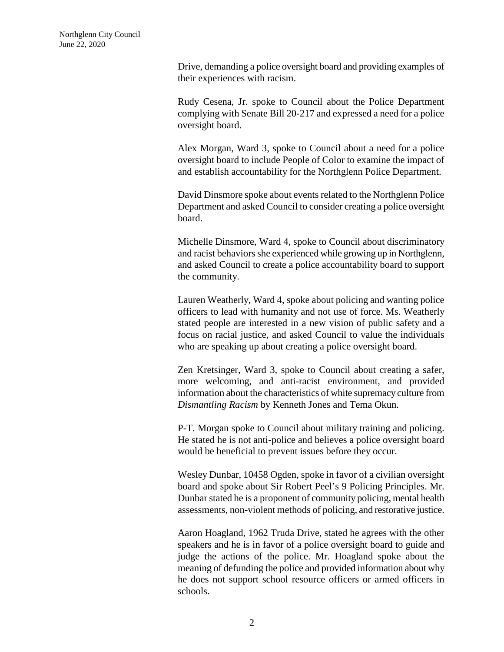Drive, demanding a police oversight board and providing examples of their experiences with racism.

Rudy Cesena, Jr. spoke to Council about the Police Department complying with Senate Bill 20-217 and expressed a need for a police oversight board.

Alex Morgan, Ward 3, spoke to Council about a need for a police oversight board to include People of Color to examine the impact of and establish accountability for the Northglenn Police Department.

David Dinsmore spoke about events related to the Northglenn Police Department and asked Council to consider creating a police oversight board.

Michelle Dinsmore, Ward 4, spoke to Council about discriminatory and racist behaviors she experienced while growing up in Northglenn, and asked Council to create a police accountability board to support the community.

Lauren Weatherly, Ward 4, spoke about policing and wanting police officers to lead with humanity and not use of force. Ms. Weatherly stated people are interested in a new vision of public safety and a focus on racial justice, and asked Council to value the individuals who are speaking up about creating a police oversight board.

Zen Kretsinger, Ward 3, spoke to Council about creating a safer, more welcoming, and anti-racist environment, and provided information about the characteristics of white supremacy culture from *Dismantling Racism* by Kenneth Jones and Tema Okun.

P-T. Morgan spoke to Council about military training and policing. He stated he is not anti-police and believes a police oversight board would be beneficial to prevent issues before they occur.

Wesley Dunbar, 10458 Ogden, spoke in favor of a civilian oversight board and spoke about Sir Robert Peel's 9 Policing Principles. Mr. Dunbar stated he is a proponent of community policing, mental health assessments, non-violent methods of policing, and restorative justice.

Aaron Hoagland, 1962 Truda Drive, stated he agrees with the other speakers and he is in favor of a police oversight board to guide and judge the actions of the police. Mr. Hoagland spoke about the meaning of defunding the police and provided information about why he does not support school resource officers or armed officers in schools.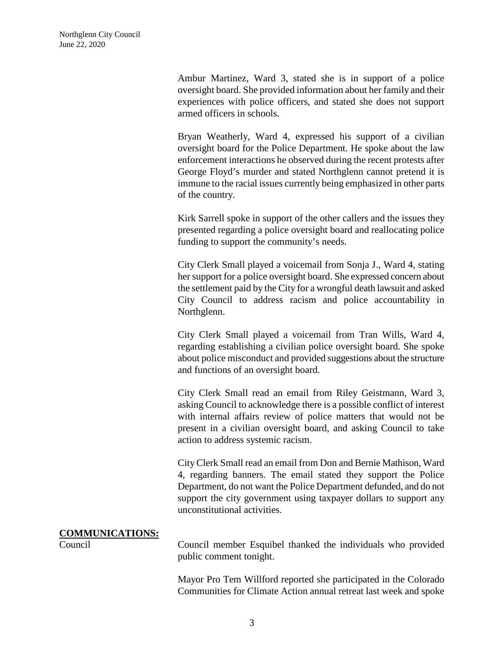Ambur Martinez, Ward 3, stated she is in support of a police oversight board. She provided information about her family and their experiences with police officers, and stated she does not support armed officers in schools.

Bryan Weatherly, Ward 4, expressed his support of a civilian oversight board for the Police Department. He spoke about the law enforcement interactions he observed during the recent protests after George Floyd's murder and stated Northglenn cannot pretend it is immune to the racial issues currently being emphasized in other parts of the country.

Kirk Sarrell spoke in support of the other callers and the issues they presented regarding a police oversight board and reallocating police funding to support the community's needs.

City Clerk Small played a voicemail from Sonja J., Ward 4, stating her support for a police oversight board. She expressed concern about the settlement paid by the City for a wrongful death lawsuit and asked City Council to address racism and police accountability in Northglenn.

City Clerk Small played a voicemail from Tran Wills, Ward 4, regarding establishing a civilian police oversight board. She spoke about police misconduct and provided suggestions about the structure and functions of an oversight board.

City Clerk Small read an email from Riley Geistmann, Ward 3, asking Council to acknowledge there is a possible conflict of interest with internal affairs review of police matters that would not be present in a civilian oversight board, and asking Council to take action to address systemic racism.

City Clerk Small read an email from Don and Bernie Mathison, Ward 4, regarding banners. The email stated they support the Police Department, do not want the Police Department defunded, and do not support the city government using taxpayer dollars to support any unconstitutional activities.

#### **COMMUNICATIONS:**

Council Council member Esquibel thanked the individuals who provided public comment tonight.

> Mayor Pro Tem Willford reported she participated in the Colorado Communities for Climate Action annual retreat last week and spoke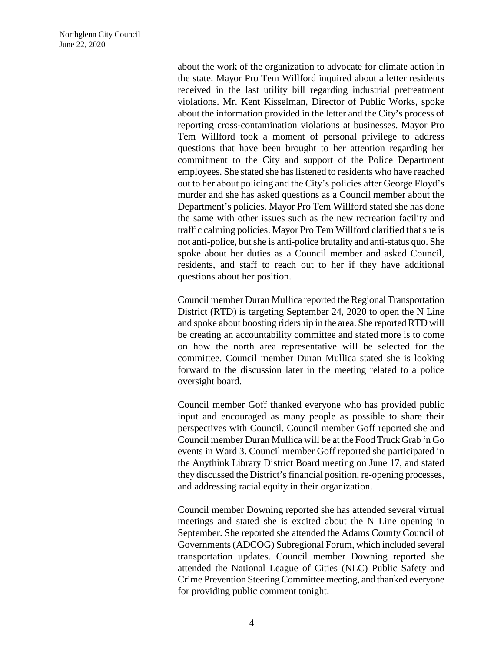about the work of the organization to advocate for climate action in the state. Mayor Pro Tem Willford inquired about a letter residents received in the last utility bill regarding industrial pretreatment violations. Mr. Kent Kisselman, Director of Public Works, spoke about the information provided in the letter and the City's process of reporting cross-contamination violations at businesses. Mayor Pro Tem Willford took a moment of personal privilege to address questions that have been brought to her attention regarding her commitment to the City and support of the Police Department employees. She stated she has listened to residents who have reached out to her about policing and the City's policies after George Floyd's murder and she has asked questions as a Council member about the Department's policies. Mayor Pro Tem Willford stated she has done the same with other issues such as the new recreation facility and traffic calming policies. Mayor Pro Tem Willford clarified that she is not anti-police, but she is anti-police brutality and anti-status quo. She spoke about her duties as a Council member and asked Council, residents, and staff to reach out to her if they have additional questions about her position.

Council member Duran Mullica reported the Regional Transportation District (RTD) is targeting September 24, 2020 to open the N Line and spoke about boosting ridership in the area. She reported RTD will be creating an accountability committee and stated more is to come on how the north area representative will be selected for the committee. Council member Duran Mullica stated she is looking forward to the discussion later in the meeting related to a police oversight board.

Council member Goff thanked everyone who has provided public input and encouraged as many people as possible to share their perspectives with Council. Council member Goff reported she and Council member Duran Mullica will be at the Food Truck Grab 'n Go events in Ward 3. Council member Goff reported she participated in the Anythink Library District Board meeting on June 17, and stated they discussed the District's financial position, re-opening processes, and addressing racial equity in their organization.

Council member Downing reported she has attended several virtual meetings and stated she is excited about the N Line opening in September. She reported she attended the Adams County Council of Governments (ADCOG) Subregional Forum, which included several transportation updates. Council member Downing reported she attended the National League of Cities (NLC) Public Safety and Crime Prevention Steering Committee meeting, and thanked everyone for providing public comment tonight.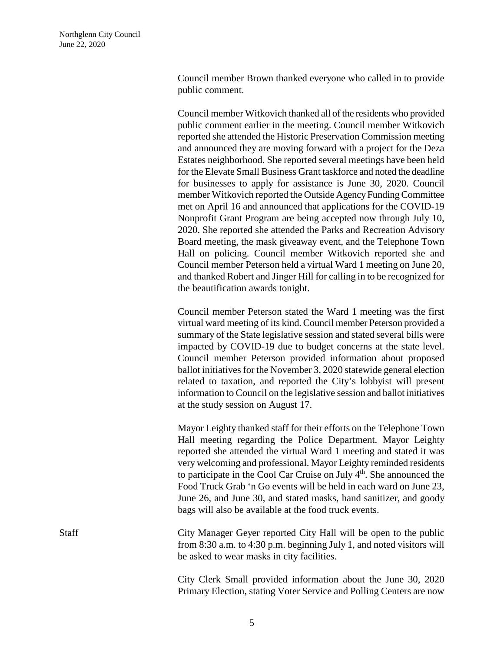Council member Brown thanked everyone who called in to provide public comment.

Council member Witkovich thanked all of the residents who provided public comment earlier in the meeting. Council member Witkovich reported she attended the Historic Preservation Commission meeting and announced they are moving forward with a project for the Deza Estates neighborhood. She reported several meetings have been held for the Elevate Small Business Grant taskforce and noted the deadline for businesses to apply for assistance is June 30, 2020. Council member Witkovich reported the Outside Agency Funding Committee met on April 16 and announced that applications for the COVID-19 Nonprofit Grant Program are being accepted now through July 10, 2020. She reported she attended the Parks and Recreation Advisory Board meeting, the mask giveaway event, and the Telephone Town Hall on policing. Council member Witkovich reported she and Council member Peterson held a virtual Ward 1 meeting on June 20, and thanked Robert and Jinger Hill for calling in to be recognized for the beautification awards tonight.

Council member Peterson stated the Ward 1 meeting was the first virtual ward meeting of its kind. Council member Peterson provided a summary of the State legislative session and stated several bills were impacted by COVID-19 due to budget concerns at the state level. Council member Peterson provided information about proposed ballot initiatives for the November 3, 2020 statewide general election related to taxation, and reported the City's lobbyist will present information to Council on the legislative session and ballot initiatives at the study session on August 17.

Mayor Leighty thanked staff for their efforts on the Telephone Town Hall meeting regarding the Police Department. Mayor Leighty reported she attended the virtual Ward 1 meeting and stated it was very welcoming and professional. Mayor Leighty reminded residents to participate in the Cool Car Cruise on July  $4<sup>th</sup>$ . She announced the Food Truck Grab 'n Go events will be held in each ward on June 23, June 26, and June 30, and stated masks, hand sanitizer, and goody bags will also be available at the food truck events.

Staff City Manager Geyer reported City Hall will be open to the public from 8:30 a.m. to 4:30 p.m. beginning July 1, and noted visitors will be asked to wear masks in city facilities.

> City Clerk Small provided information about the June 30, 2020 Primary Election, stating Voter Service and Polling Centers are now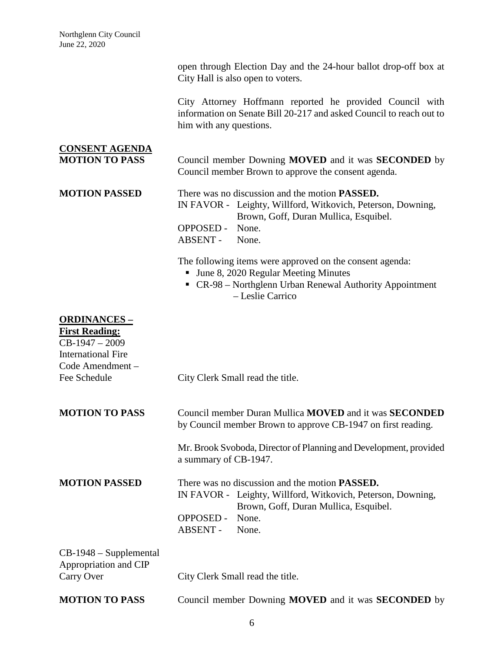|                         | open through Election Day and the 24-hour ballot drop-off box at<br>City Hall is also open to voters.                           |  |  |  |
|-------------------------|---------------------------------------------------------------------------------------------------------------------------------|--|--|--|
| him with any questions. | City Attorney Hoffmann reported he provided Council with<br>information on Senate Bill 20-217 and asked Council to reach out to |  |  |  |

# **CONSENT AGENDA MOTION TO PASS** Council member Downing **MOVED** and it was **SECONDED** by Council member Brown to approve the consent agenda.

**MOTION PASSED** There was no discussion and the motion **PASSED.** IN FAVOR - Leighty, Willford, Witkovich, Peterson, Downing, Brown, Goff, Duran Mullica, Esquibel. OPPOSED - None.

ABSENT - None.

The following items were approved on the consent agenda:

- Ullet 3, 2020 Regular Meeting Minutes
- CR-98 Northglenn Urban Renewal Authority Appointment – Leslie Carrico

### **ORDINANCES –**

## **First Reading:**  $CB-1947-2009$ International Fire Code Amendment – Fee Schedule City Clerk Small read the title. **MOTION TO PASS** Council member Duran Mullica **MOVED** and it was **SECONDED** by Council member Brown to approve CB-1947 on first reading. Mr. Brook Svoboda, Director of Planning and Development, provided a summary of CB-1947. **MOTION PASSED** There was no discussion and the motion **PASSED.** IN FAVOR - Leighty, Willford, Witkovich, Peterson, Downing, Brown, Goff, Duran Mullica, Esquibel. OPPOSED - None. ABSENT - None. CB-1948 – Supplemental Appropriation and CIP Carry Over City Clerk Small read the title. **MOTION TO PASS** Council member Downing **MOVED** and it was **SECONDED** by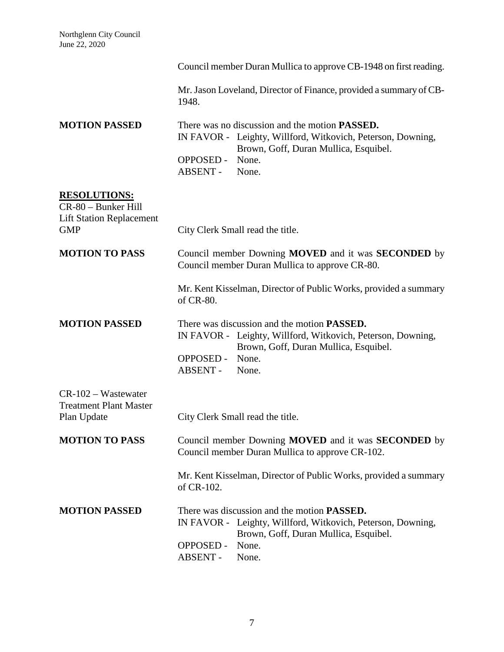|                                                                               | Council member Duran Mullica to approve CB-1948 on first reading.                                                                                                                   |
|-------------------------------------------------------------------------------|-------------------------------------------------------------------------------------------------------------------------------------------------------------------------------------|
|                                                                               | Mr. Jason Loveland, Director of Finance, provided a summary of CB-<br>1948.                                                                                                         |
| <b>MOTION PASSED</b>                                                          | There was no discussion and the motion PASSED.<br>IN FAVOR - Leighty, Willford, Witkovich, Peterson, Downing,<br>Brown, Goff, Duran Mullica, Esquibel.<br><b>OPPOSED -</b><br>None. |
|                                                                               | ABSENT -<br>None.                                                                                                                                                                   |
| <b>RESOLUTIONS:</b><br>CR-80 - Bunker Hill<br><b>Lift Station Replacement</b> |                                                                                                                                                                                     |
| <b>GMP</b>                                                                    | City Clerk Small read the title.                                                                                                                                                    |
| <b>MOTION TO PASS</b>                                                         | Council member Downing MOVED and it was <b>SECONDED</b> by<br>Council member Duran Mullica to approve CR-80.                                                                        |
|                                                                               | Mr. Kent Kisselman, Director of Public Works, provided a summary<br>of CR-80.                                                                                                       |
| <b>MOTION PASSED</b>                                                          | There was discussion and the motion <b>PASSED.</b><br>IN FAVOR - Leighty, Willford, Witkovich, Peterson, Downing,<br>Brown, Goff, Duran Mullica, Esquibel.                          |
|                                                                               | None.<br><b>OPPOSED -</b><br>ABSENT -<br>None.                                                                                                                                      |
| $CR-102-W$ astewater<br><b>Treatment Plant Master</b><br>Plan Update          | City Clerk Small read the title.                                                                                                                                                    |
| <b>MOTION TO PASS</b>                                                         | Council member Downing MOVED and it was SECONDED by<br>Council member Duran Mullica to approve CR-102.                                                                              |
|                                                                               | Mr. Kent Kisselman, Director of Public Works, provided a summary<br>of CR-102.                                                                                                      |
| <b>MOTION PASSED</b>                                                          | There was discussion and the motion <b>PASSED</b> .<br>IN FAVOR - Leighty, Willford, Witkovich, Peterson, Downing,<br>Brown, Goff, Duran Mullica, Esquibel.                         |
|                                                                               | <b>OPPOSED -</b><br>None.<br>ABSENT -<br>None.                                                                                                                                      |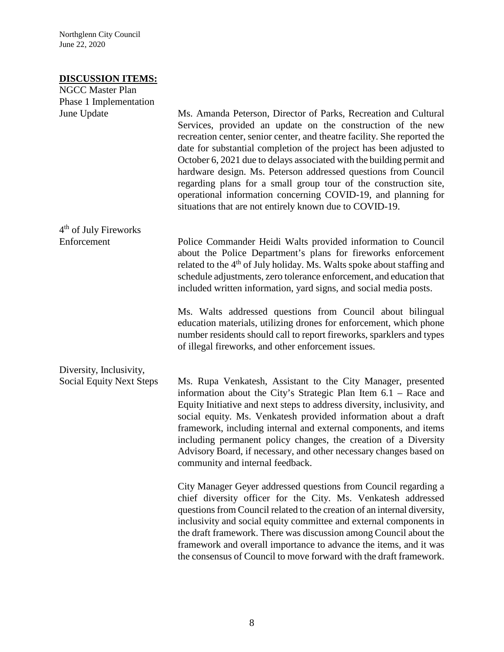Northglenn City Council June 22, 2020

#### **DISCUSSION ITEMS:**

| <b>NGCC Master Plan</b>           |                                                                                                                                                                                                                                                                                                                                                                                                                                                                                                                                                                                                                              |
|-----------------------------------|------------------------------------------------------------------------------------------------------------------------------------------------------------------------------------------------------------------------------------------------------------------------------------------------------------------------------------------------------------------------------------------------------------------------------------------------------------------------------------------------------------------------------------------------------------------------------------------------------------------------------|
| Phase 1 Implementation            |                                                                                                                                                                                                                                                                                                                                                                                                                                                                                                                                                                                                                              |
| June Update                       | Ms. Amanda Peterson, Director of Parks, Recreation and Cultural<br>Services, provided an update on the construction of the new<br>recreation center, senior center, and theatre facility. She reported the<br>date for substantial completion of the project has been adjusted to<br>October 6, 2021 due to delays associated with the building permit and<br>hardware design. Ms. Peterson addressed questions from Council<br>regarding plans for a small group tour of the construction site,<br>operational information concerning COVID-19, and planning for<br>situations that are not entirely known due to COVID-19. |
| 4 <sup>th</sup> of July Fireworks |                                                                                                                                                                                                                                                                                                                                                                                                                                                                                                                                                                                                                              |
| Enforcement                       | Police Commander Heidi Walts provided information to Council<br>about the Police Department's plans for fireworks enforcement<br>related to the 4 <sup>th</sup> of July holiday. Ms. Walts spoke about staffing and<br>schedule adjustments, zero tolerance enforcement, and education that<br>included written information, yard signs, and social media posts.                                                                                                                                                                                                                                                             |
|                                   | Ms. Walts addressed questions from Council about bilingual<br>education materials, utilizing drones for enforcement, which phone<br>number residents should call to report fireworks, sparklers and types<br>of illegal fireworks, and other enforcement issues.                                                                                                                                                                                                                                                                                                                                                             |
| Diversity, Inclusivity,           |                                                                                                                                                                                                                                                                                                                                                                                                                                                                                                                                                                                                                              |
| <b>Social Equity Next Steps</b>   | Ms. Rupa Venkatesh, Assistant to the City Manager, presented<br>information about the City's Strategic Plan Item 6.1 – Race and<br>Equity Initiative and next steps to address diversity, inclusivity, and<br>social equity. Ms. Venkatesh provided information about a draft<br>framework, including internal and external components, and items<br>including permanent policy changes, the creation of a Diversity<br>Advisory Board, if necessary, and other necessary changes based on<br>community and internal feedback.                                                                                               |
|                                   | City Manager Geyer addressed questions from Council regarding a<br>chief diversity officer for the City. Ms. Venkatesh addressed<br>questions from Council related to the creation of an internal diversity,<br>inclusivity and social equity committee and external components in<br>the draft framework. There was discussion among Council about the<br>framework and overall importance to advance the items, and it was<br>the consensus of Council to move forward with the draft framework.                                                                                                                           |